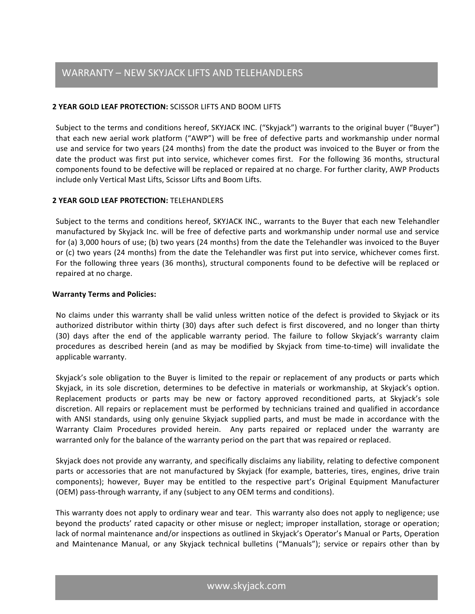# **2 YEAR GOLD LEAF PROTECTION:** SCISSOR LIFTS AND BOOM LIFTS

Subject to the terms and conditions hereof, SKYJACK INC. ("Skyjack") warrants to the original buyer ("Buyer") that each new aerial work platform ("AWP") will be free of defective parts and workmanship under normal use and service for two years (24 months) from the date the product was invoiced to the Buyer or from the date the product was first put into service, whichever comes first. For the following 36 months, structural components found to be defective will be replaced or repaired at no charge. For further clarity, AWP Products include only Vertical Mast Lifts, Scissor Lifts and Boom Lifts.

## **2 YEAR GOLD LEAF PROTECTION:** TELEHANDLERS

Subject to the terms and conditions hereof, SKYJACK INC., warrants to the Buyer that each new Telehandler manufactured by Skyjack Inc. will be free of defective parts and workmanship under normal use and service for (a) 3,000 hours of use; (b) two years (24 months) from the date the Telehandler was invoiced to the Buyer or (c) two years (24 months) from the date the Telehandler was first put into service, whichever comes first. For the following three years (36 months), structural components found to be defective will be replaced or repaired at no charge.

## **Warranty Terms and Policies:**

No claims under this warranty shall be valid unless written notice of the defect is provided to Skyjack or its authorized distributor within thirty (30) days after such defect is first discovered, and no longer than thirty (30) days after the end of the applicable warranty period. The failure to follow Skyjack's warranty claim procedures as described herein (and as may be modified by Skyjack from time-to-time) will invalidate the applicable warranty.

Skyjack's sole obligation to the Buyer is limited to the repair or replacement of any products or parts which Skyjack, in its sole discretion, determines to be defective in materials or workmanship, at Skyjack's option. Replacement products or parts may be new or factory approved reconditioned parts, at Skyjack's sole discretion. All repairs or replacement must be performed by technicians trained and qualified in accordance with ANSI standards, using only genuine Skyjack supplied parts, and must be made in accordance with the Warranty Claim Procedures provided herein. Any parts repaired or replaced under the warranty are warranted only for the balance of the warranty period on the part that was repaired or replaced.

Skyjack does not provide any warranty, and specifically disclaims any liability, relating to defective component parts or accessories that are not manufactured by Skyjack (for example, batteries, tires, engines, drive train components); however, Buyer may be entitled to the respective part's Original Equipment Manufacturer (OEM) pass-through warranty, if any (subject to any OEM terms and conditions).

This warranty does not apply to ordinary wear and tear. This warranty also does not apply to negligence; use beyond the products' rated capacity or other misuse or neglect; improper installation, storage or operation; lack of normal maintenance and/or inspections as outlined in Skyjack's Operator's Manual or Parts, Operation and Maintenance Manual, or any Skyjack technical bulletins ("Manuals"); service or repairs other than by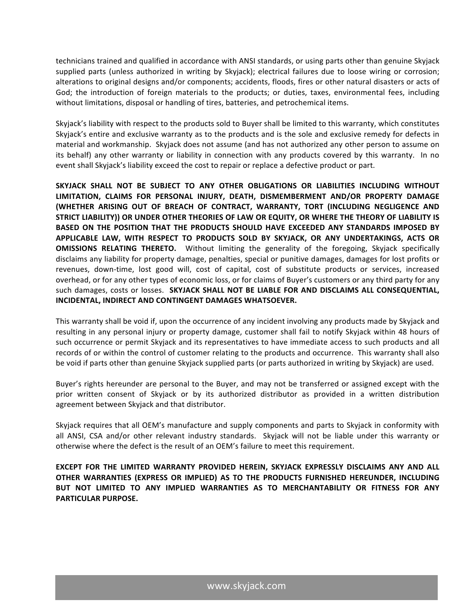technicians trained and qualified in accordance with ANSI standards, or using parts other than genuine Skyjack supplied parts (unless authorized in writing by Skyjack); electrical failures due to loose wiring or corrosion; alterations to original designs and/or components; accidents, floods, fires or other natural disasters or acts of God; the introduction of foreign materials to the products; or duties, taxes, environmental fees, including without limitations, disposal or handling of tires, batteries, and petrochemical items.

Skyjack's liability with respect to the products sold to Buyer shall be limited to this warranty, which constitutes Skyjack's entire and exclusive warranty as to the products and is the sole and exclusive remedy for defects in material and workmanship. Skyjack does not assume (and has not authorized any other person to assume on its behalf) any other warranty or liability in connection with any products covered by this warranty. In no event shall Skyjack's liability exceed the cost to repair or replace a defective product or part.

SKYJACK SHALL NOT BE SUBJECT TO ANY OTHER OBLIGATIONS OR LIABILITIES INCLUDING WITHOUT LIMITATION, CLAIMS FOR PERSONAL INJURY, DEATH, DISMEMBERMENT AND/OR PROPERTY DAMAGE (WHETHER ARISING OUT OF BREACH OF CONTRACT, WARRANTY, TORT (INCLUDING NEGLIGENCE AND STRICT LIABILITY)) OR UNDER OTHER THEORIES OF LAW OR EQUITY, OR WHERE THE THEORY OF LIABILITY IS **BASED ON THE POSITION THAT THE PRODUCTS SHOULD HAVE EXCEEDED ANY STANDARDS IMPOSED BY** APPLICABLE LAW, WITH RESPECT TO PRODUCTS SOLD BY SKYJACK, OR ANY UNDERTAKINGS, ACTS OR **OMISSIONS RELATING THERETO.** Without limiting the generality of the foregoing, Skyjack specifically disclaims any liability for property damage, penalties, special or punitive damages, damages for lost profits or revenues, down-time, lost good will, cost of capital, cost of substitute products or services, increased overhead, or for any other types of economic loss, or for claims of Buyer's customers or any third party for any such damages, costs or losses. SKYJACK SHALL NOT BE LIABLE FOR AND DISCLAIMS ALL CONSEQUENTIAL, **INCIDENTAL, INDIRECT AND CONTINGENT DAMAGES WHATSOEVER.** 

This warranty shall be void if, upon the occurrence of any incident involving any products made by Skyjack and resulting in any personal injury or property damage, customer shall fail to notify Skyjack within 48 hours of such occurrence or permit Skyjack and its representatives to have immediate access to such products and all records of or within the control of customer relating to the products and occurrence. This warranty shall also be void if parts other than genuine Skyjack supplied parts (or parts authorized in writing by Skyjack) are used.

Buyer's rights hereunder are personal to the Buyer, and may not be transferred or assigned except with the prior written consent of Skyjack or by its authorized distributor as provided in a written distribution agreement between Skyjack and that distributor.

Skyjack requires that all OEM's manufacture and supply components and parts to Skyjack in conformity with all ANSI, CSA and/or other relevant industry standards. Skyjack will not be liable under this warranty or otherwise where the defect is the result of an OEM's failure to meet this requirement.

**EXCEPT FOR THE LIMITED WARRANTY PROVIDED HEREIN, SKYJACK EXPRESSLY DISCLAIMS ANY AND ALL** OTHER WARRANTIES (EXPRESS OR IMPLIED) AS TO THE PRODUCTS FURNISHED HEREUNDER, INCLUDING BUT NOT LIMITED TO ANY IMPLIED WARRANTIES AS TO MERCHANTABILITY OR FITNESS FOR ANY **PARTICULAR PURPOSE.**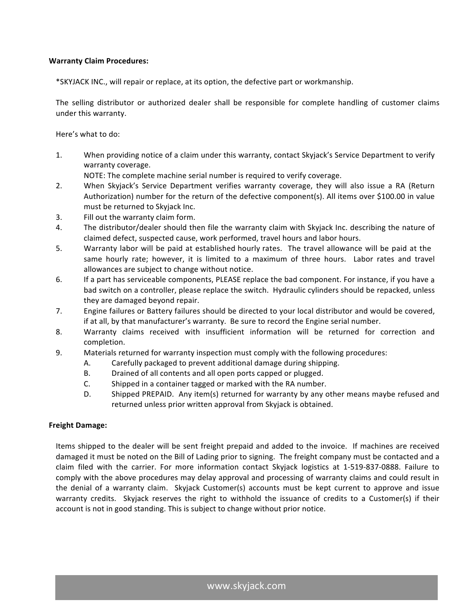### **Warranty Claim Procedures:**

\*SKYJACK INC., will repair or replace, at its option, the defective part or workmanship.

The selling distributor or authorized dealer shall be responsible for complete handling of customer claims under this warranty.

Here's what to do:

1. When providing notice of a claim under this warranty, contact Skyjack's Service Department to verify warranty coverage.

NOTE: The complete machine serial number is required to verify coverage.

- 2. When Skyjack's Service Department verifies warranty coverage, they will also issue a RA (Return Authorization) number for the return of the defective component(s). All items over \$100.00 in value must be returned to Skyjack Inc.
- 3. Fill out the warranty claim form.
- 4. The distributor/dealer should then file the warranty claim with Skyjack Inc. describing the nature of claimed defect, suspected cause, work performed, travel hours and labor hours.
- 5. Warranty labor will be paid at established hourly rates. The travel allowance will be paid at the same hourly rate; however, it is limited to a maximum of three hours. Labor rates and travel allowances are subject to change without notice.
- 6. If a part has serviceable components, PLEASE replace the bad component. For instance, if you have a bad switch on a controller, please replace the switch. Hydraulic cylinders should be repacked, unless they are damaged beyond repair.
- 7. Engine failures or Battery failures should be directed to your local distributor and would be covered, if at all, by that manufacturer's warranty. Be sure to record the Engine serial number.
- 8. Warranty claims received with insufficient information will be returned for correction and completion.
- 9. Materials returned for warranty inspection must comply with the following procedures:
	- A. Carefully packaged to prevent additional damage during shipping.
	- B. Drained of all contents and all open ports capped or plugged.
	- C. Shipped in a container tagged or marked with the RA number.
	- D. Shipped PREPAID. Any item(s) returned for warranty by any other means maybe refused and returned unless prior written approval from Skyjack is obtained.

#### **Freight Damage:**

Items shipped to the dealer will be sent freight prepaid and added to the invoice. If machines are received damaged it must be noted on the Bill of Lading prior to signing. The freight company must be contacted and a claim filed with the carrier. For more information contact Skyjack logistics at 1-519-837-0888. Failure to comply with the above procedures may delay approval and processing of warranty claims and could result in the denial of a warranty claim. Skyjack Customer(s) accounts must be kept current to approve and issue warranty credits. Skyjack reserves the right to withhold the issuance of credits to a Customer(s) if their account is not in good standing. This is subject to change without prior notice.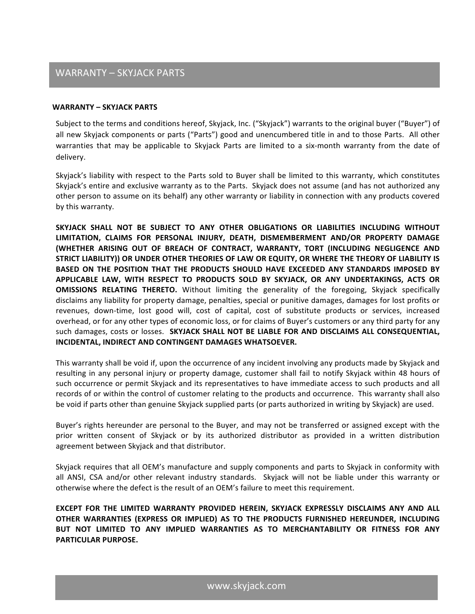# WARRANTY - SKYJACK PARTS

#### **WARRANTY – SKYJACK PARTS**

Subject to the terms and conditions hereof, Skyjack, Inc. ("Skyjack") warrants to the original buyer ("Buyer") of all new Skyjack components or parts ("Parts") good and unencumbered title in and to those Parts. All other warranties that may be applicable to Skyjack Parts are limited to a six-month warranty from the date of delivery. 

Skyjack's liability with respect to the Parts sold to Buyer shall be limited to this warranty, which constitutes Skyjack's entire and exclusive warranty as to the Parts. Skyjack does not assume (and has not authorized any other person to assume on its behalf) any other warranty or liability in connection with any products covered by this warranty.

SKYJACK SHALL NOT BE SUBJECT TO ANY OTHER OBLIGATIONS OR LIABILITIES INCLUDING WITHOUT LIMITATION, CLAIMS FOR PERSONAL INJURY, DEATH, DISMEMBERMENT AND/OR PROPERTY DAMAGE (WHETHER ARISING OUT OF BREACH OF CONTRACT, WARRANTY, TORT (INCLUDING NEGLIGENCE AND STRICT LIABILITY)) OR UNDER OTHER THEORIES OF LAW OR EQUITY, OR WHERE THE THEORY OF LIABILITY IS **BASED ON THE POSITION THAT THE PRODUCTS SHOULD HAVE EXCEEDED ANY STANDARDS IMPOSED BY** APPLICABLE LAW, WITH RESPECT TO PRODUCTS SOLD BY SKYJACK, OR ANY UNDERTAKINGS, ACTS OR **OMISSIONS RELATING THERETO.** Without limiting the generality of the foregoing, Skyjack specifically disclaims any liability for property damage, penalties, special or punitive damages, damages for lost profits or revenues, down-time, lost good will, cost of capital, cost of substitute products or services, increased overhead, or for any other types of economic loss, or for claims of Buyer's customers or any third party for any such damages, costs or losses. SKYJACK SHALL NOT BE LIABLE FOR AND DISCLAIMS ALL CONSEQUENTIAL, **INCIDENTAL, INDIRECT AND CONTINGENT DAMAGES WHATSOEVER.** 

This warranty shall be void if, upon the occurrence of any incident involving any products made by Skyjack and resulting in any personal injury or property damage, customer shall fail to notify Skyjack within 48 hours of such occurrence or permit Skyjack and its representatives to have immediate access to such products and all records of or within the control of customer relating to the products and occurrence. This warranty shall also be void if parts other than genuine Skyjack supplied parts (or parts authorized in writing by Skyjack) are used.

Buyer's rights hereunder are personal to the Buyer, and may not be transferred or assigned except with the prior written consent of Skyjack or by its authorized distributor as provided in a written distribution agreement between Skyjack and that distributor.

Skyjack requires that all OEM's manufacture and supply components and parts to Skyjack in conformity with all ANSI, CSA and/or other relevant industry standards. Skyjack will not be liable under this warranty or otherwise where the defect is the result of an OEM's failure to meet this requirement.

**EXCEPT FOR THE LIMITED WARRANTY PROVIDED HEREIN, SKYJACK EXPRESSLY DISCLAIMS ANY AND ALL** OTHER WARRANTIES (EXPRESS OR IMPLIED) AS TO THE PRODUCTS FURNISHED HEREUNDER, INCLUDING BUT NOT LIMITED TO ANY IMPLIED WARRANTIES AS TO MERCHANTABILITY OR FITNESS FOR ANY **PARTICULAR PURPOSE.**